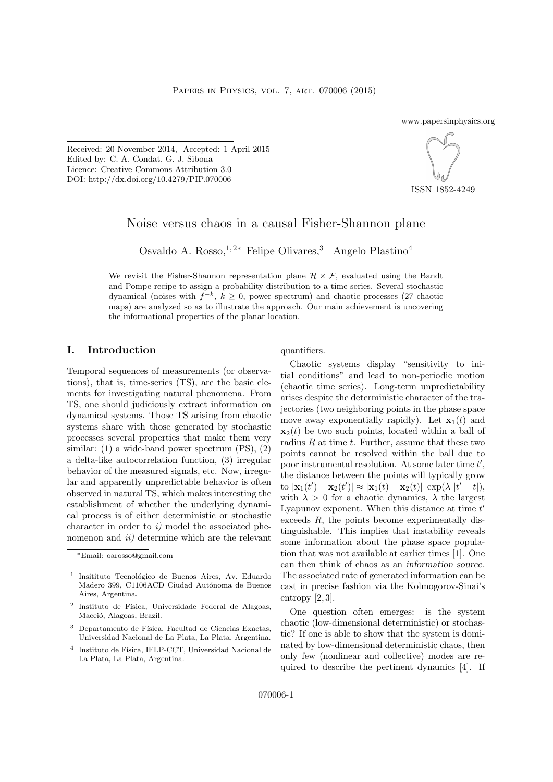www.papersinphysics.org

Received: 20 November 2014, Accepted: 1 April 2015 Edited by: C. A. Condat, G. J. Sibona Licence: Creative Commons Attribution 3.0 DOI: http://dx.doi.org/10.4279/PIP.070006



ISSN 1852-4249

# Noise versus chaos in a causal Fisher-Shannon plane

Osvaldo A. Rosso,<sup>1,2∗</sup> Felipe Olivares,<sup>3</sup> Angelo Plastino<sup>4</sup>

We revisit the Fisher-Shannon representation plane  $\mathcal{H} \times \mathcal{F}$ , evaluated using the Bandt and Pompe recipe to assign a probability distribution to a time series. Several stochastic dynamical (noises with  $f^{-k}$ ,  $k \geq 0$ , power spectrum) and chaotic processes (27 chaotic maps) are analyzed so as to illustrate the approach. Our main achievement is uncovering the informational properties of the planar location.

### I. Introduction

Temporal sequences of measurements (or observations), that is, time-series (TS), are the basic elements for investigating natural phenomena. From TS, one should judiciously extract information on dynamical systems. Those TS arising from chaotic systems share with those generated by stochastic processes several properties that make them very similar: (1) a wide-band power spectrum (PS), (2) a delta-like autocorrelation function, (3) irregular behavior of the measured signals, etc. Now, irregular and apparently unpredictable behavior is often observed in natural TS, which makes interesting the establishment of whether the underlying dynamical process is of either deterministic or stochastic character in order to  $i$ ) model the associated phenomenon and  $ii)$  determine which are the relevant

#### quantifiers.

Chaotic systems display "sensitivity to initial conditions" and lead to non-periodic motion (chaotic time series). Long-term unpredictability arises despite the deterministic character of the trajectories (two neighboring points in the phase space move away exponentially rapidly). Let  $\mathbf{x}_1(t)$  and  $\mathbf{x}_2(t)$  be two such points, located within a ball of radius  $R$  at time  $t$ . Further, assume that these two points cannot be resolved within the ball due to poor instrumental resolution. At some later time  $t'$ , the distance between the points will typically grow to  $|\mathbf{x}_1(t') - \mathbf{x}_2(t')| \approx |\mathbf{x}_1(t) - \mathbf{x}_2(t)| \exp(\lambda |t'-t|),$ with  $\lambda > 0$  for a chaotic dynamics,  $\lambda$  the largest Lyapunov exponent. When this distance at time  $t'$ exceeds R, the points become experimentally distinguishable. This implies that instability reveals some information about the phase space population that was not available at earlier times [1]. One can then think of chaos as an information source. The associated rate of generated information can be cast in precise fashion via the Kolmogorov-Sinai's entropy  $[2,3]$ .

One question often emerges: is the system chaotic (low-dimensional deterministic) or stochastic? If one is able to show that the system is dominated by low-dimensional deterministic chaos, then only few (nonlinear and collective) modes are required to describe the pertinent dynamics [4]. If

<sup>∗</sup>Email: oarosso@gmail.com

<sup>&</sup>lt;sup>1</sup> Insitituto Tecnológico de Buenos Aires, Av. Eduardo Madero 399, C1106ACD Ciudad Autónoma de Buenos Aires, Argentina.

<sup>&</sup>lt;sup>2</sup> Instituto de Física, Universidade Federal de Alagoas, Maceió, Alagoas, Brazil.

 $3$  Departamento de Física, Facultad de Ciencias Exactas, Universidad Nacional de La Plata, La Plata, Argentina.

<sup>&</sup>lt;sup>4</sup> Instituto de Física, IFLP-CCT, Universidad Nacional de La Plata, La Plata, Argentina.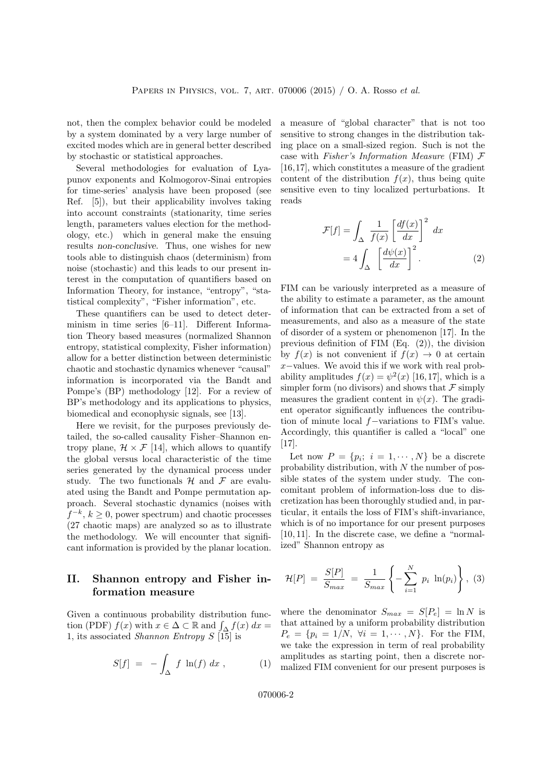not, then the complex behavior could be modeled by a system dominated by a very large number of excited modes which are in general better described by stochastic or statistical approaches.

Several methodologies for evaluation of Lyapunov exponents and Kolmogorov-Sinai entropies for time-series' analysis have been proposed (see Ref. [5]), but their applicability involves taking into account constraints (stationarity, time series length, parameters values election for the methodology, etc.) which in general make the ensuing results non-conclusive. Thus, one wishes for new tools able to distinguish chaos (determinism) from noise (stochastic) and this leads to our present interest in the computation of quantifiers based on Information Theory, for instance, "entropy", "statistical complexity", "Fisher information", etc.

These quantifiers can be used to detect determinism in time series [6–11]. Different Information Theory based measures (normalized Shannon entropy, statistical complexity, Fisher information) allow for a better distinction between deterministic chaotic and stochastic dynamics whenever "causal" information is incorporated via the Bandt and Pompe's (BP) methodology [12]. For a review of BP's methodology and its applications to physics, biomedical and econophysic signals, see [13].

Here we revisit, for the purposes previously detailed, the so-called causality Fisher–Shannon entropy plane,  $\mathcal{H} \times \mathcal{F}$  [14], which allows to quantify the global versus local characteristic of the time series generated by the dynamical process under study. The two functionals  $H$  and  $F$  are evaluated using the Bandt and Pompe permutation approach. Several stochastic dynamics (noises with  $f^{-k}, k \geq 0$ , power spectrum) and chaotic processes (27 chaotic maps) are analyzed so as to illustrate the methodology. We will encounter that significant information is provided by the planar location.

## II. Shannon entropy and Fisher information measure

Given a continuous probability distribution function (PDF)  $f(x)$  with  $x \in \Delta \subset \mathbb{R}$  and  $\int_{\Delta} f(x) dx =$ 1, its associated *Shannon Entropy*  $S$  [15] is

$$
S[f] = -\int_{\Delta} f \ln(f) dx , \qquad (1)
$$

a measure of "global character" that is not too sensitive to strong changes in the distribution taking place on a small-sized region. Such is not the case with Fisher's Information Measure (FIM) F [16,17], which constitutes a measure of the gradient content of the distribution  $f(x)$ , thus being quite sensitive even to tiny localized perturbations. It reads

$$
\mathcal{F}[f] = \int_{\Delta} \frac{1}{f(x)} \left[ \frac{df(x)}{dx} \right]^2 dx
$$

$$
= 4 \int_{\Delta} \left[ \frac{d\psi(x)}{dx} \right]^2.
$$
 (2)

FIM can be variously interpreted as a measure of the ability to estimate a parameter, as the amount of information that can be extracted from a set of measurements, and also as a measure of the state of disorder of a system or phenomenon [17]. In the previous definition of FIM (Eq. (2)), the division by  $f(x)$  is not convenient if  $f(x) \to 0$  at certain x−values. We avoid this if we work with real probability amplitudes  $f(x) = \psi^2(x)$  [16,17], which is a simpler form (no divisors) and shows that  $\mathcal F$  simply measures the gradient content in  $\psi(x)$ . The gradient operator significantly influences the contribution of minute local f−variations to FIM's value. Accordingly, this quantifier is called a "local" one [17].

Let now  $P = \{p_i; i = 1, \cdots, N\}$  be a discrete probability distribution, with  $N$  the number of possible states of the system under study. The concomitant problem of information-loss due to discretization has been thoroughly studied and, in particular, it entails the loss of FIM's shift-invariance, which is of no importance for our present purposes [10, 11]. In the discrete case, we define a "normalized" Shannon entropy as

$$
\mathcal{H}[P] \ = \ \frac{S[P]}{S_{max}} \ = \ \frac{1}{S_{max}} \left\{ -\sum_{i=1}^{N} \ p_i \ \ln(p_i) \right\}, \ (3)
$$

where the denominator  $S_{max} = S[P_e] = \ln N$  is that attained by a uniform probability distribution  $P_e = \{p_i = 1/N, \ \forall i = 1, \cdots, N\}.$  For the FIM, we take the expression in term of real probability amplitudes as starting point, then a discrete normalized FIM convenient for our present purposes is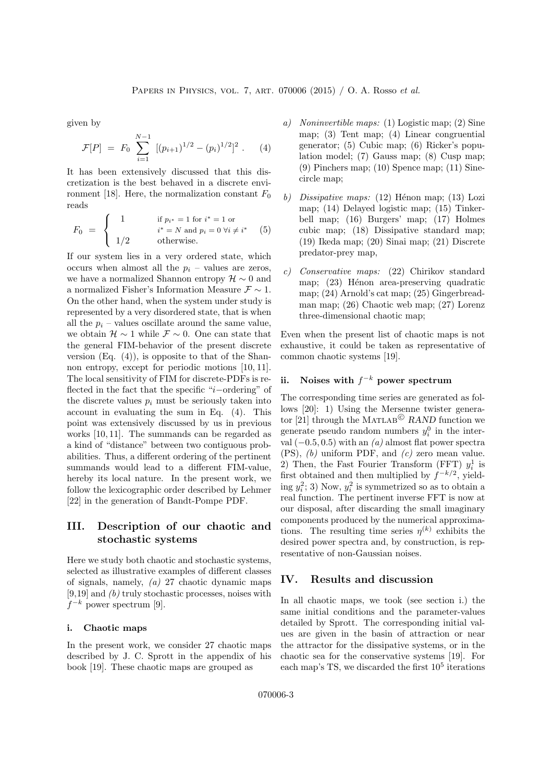given by

$$
\mathcal{F}[P] = F_0 \sum_{i=1}^{N-1} [(p_{i+1})^{1/2} - (p_i)^{1/2}]^2 . \quad (4)
$$

It has been extensively discussed that this discretization is the best behaved in a discrete environment [18]. Here, the normalization constant  $F_0$ reads

$$
F_0 = \begin{cases} 1 & \text{if } p_{i^*} = 1 \text{ for } i^* = 1 \text{ or} \\ i^* = N \text{ and } p_i = 0 \forall i \neq i^* \\ 1/2 & \text{otherwise.} \end{cases} (5)
$$

If our system lies in a very ordered state, which occurs when almost all the  $p_i$  – values are zeros, we have a normalized Shannon entropy  $\mathcal{H} \sim 0$  and a normalized Fisher's Information Measure F ∼ 1. On the other hand, when the system under study is represented by a very disordered state, that is when all the  $p_i$  – values oscillate around the same value. we obtain  $\mathcal{H} \sim 1$  while  $\mathcal{F} \sim 0$ . One can state that the general FIM-behavior of the present discrete version  $(Eq. (4))$ , is opposite to that of the Shannon entropy, except for periodic motions [10, 11]. The local sensitivity of FIM for discrete-PDFs is reflected in the fact that the specific "i−ordering" of the discrete values  $p_i$  must be seriously taken into account in evaluating the sum in Eq. (4). This point was extensively discussed by us in previous works [10, 11]. The summands can be regarded as a kind of "distance" between two contiguous probabilities. Thus, a different ordering of the pertinent summands would lead to a different FIM-value, hereby its local nature. In the present work, we follow the lexicographic order described by Lehmer [22] in the generation of Bandt-Pompe PDF.

## III. Description of our chaotic and stochastic systems

Here we study both chaotic and stochastic systems, selected as illustrative examples of different classes of signals, namely, (a) 27 chaotic dynamic maps  $[9,19]$  and  $(b)$  truly stochastic processes, noises with  $f^{-k}$  power spectrum [9].

#### i. Chaotic maps

In the present work, we consider 27 chaotic maps described by J. C. Sprott in the appendix of his book [19]. These chaotic maps are grouped as

- a) Noninvertible maps: (1) Logistic map; (2) Sine map; (3) Tent map; (4) Linear congruential generator; (5) Cubic map; (6) Ricker's population model; (7) Gauss map; (8) Cusp map; (9) Pinchers map; (10) Spence map; (11) Sinecircle map;
- b) Dissipative maps:  $(12)$  Hénon map;  $(13)$  Lozi map; (14) Delayed logistic map; (15) Tinkerbell map; (16) Burgers' map; (17) Holmes cubic map; (18) Dissipative standard map; (19) Ikeda map; (20) Sinai map; (21) Discrete predator-prey map,
- c) Conservative maps: (22) Chirikov standard map;  $(23)$  Hénon area-preserving quadratic map; (24) Arnold's cat map; (25) Gingerbreadman map; (26) Chaotic web map; (27) Lorenz three-dimensional chaotic map;

Even when the present list of chaotic maps is not exhaustive, it could be taken as representative of common chaotic systems [19].

### ii. Noises with  $f^{-k}$  power spectrum

The corresponding time series are generated as follows [20]: 1) Using the Mersenne twister generator [21] through the MATLAB<sup>C</sup> RAND function we generate pseudo random numbers  $y_i^0$  in the interval  $(-0.5, 0.5)$  with an  $(a)$  almost flat power spectra  $(PS)$ ,  $(b)$  uniform PDF, and  $(c)$  zero mean value. 2) Then, the Fast Fourier Transform (FFT)  $y_i^1$  is first obtained and then multiplied by  $f^{-k/2}$ , yielding  $y_i^2$ ; 3) Now,  $y_i^2$  is symmetrized so as to obtain a real function. The pertinent inverse FFT is now at our disposal, after discarding the small imaginary components produced by the numerical approximations. The resulting time series  $\eta^{(k)}$  exhibits the desired power spectra and, by construction, is representative of non-Gaussian noises.

#### IV. Results and discussion

In all chaotic maps, we took (see section i.) the same initial conditions and the parameter-values detailed by Sprott. The corresponding initial values are given in the basin of attraction or near the attractor for the dissipative systems, or in the chaotic sea for the conservative systems [19]. For each map's TS, we discarded the first  $10<sup>5</sup>$  iterations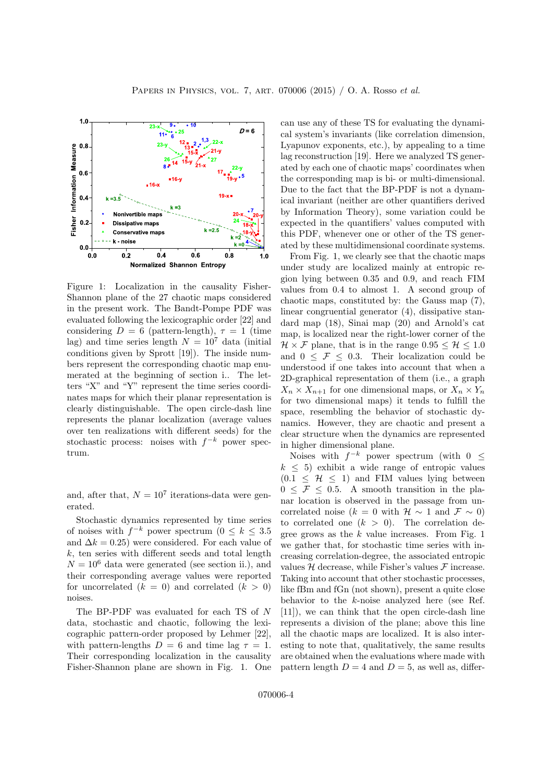

Figure 1: Localization in the causality Fisher-Shannon plane of the 27 chaotic maps considered in the present work. The Bandt-Pompe PDF was evaluated following the lexicographic order [22] and considering  $D = 6$  (pattern-length),  $\tau = 1$  (time lag) and time series length  $N = 10^7$  data (initial) conditions given by Sprott [19]). The inside numbers represent the corresponding chaotic map enumerated at the beginning of section i.. The letters "X" and "Y" represent the time series coordinates maps for which their planar representation is clearly distinguishable. The open circle-dash line represents the planar localization (average values over ten realizations with different seeds) for the stochastic process: noises with  $f^{-k}$  power spectrum.

and, after that,  $N = 10<sup>7</sup>$  iterations-data were generated.

Stochastic dynamics represented by time series of noises with  $f^{-k}$  power spectrum  $(0 \leq k \leq 3.5)$ and  $\Delta k = 0.25$ ) were considered. For each value of  $k$ , ten series with different seeds and total length  $N = 10^6$  data were generated (see section ii.), and their corresponding average values were reported for uncorrelated  $(k = 0)$  and correlated  $(k > 0)$ noises.

The BP-PDF was evaluated for each TS of N data, stochastic and chaotic, following the lexicographic pattern-order proposed by Lehmer [22], with pattern-lengths  $D = 6$  and time lag  $\tau = 1$ . Their corresponding localization in the causality Fisher-Shannon plane are shown in Fig. 1. One can use any of these TS for evaluating the dynamical system's invariants (like correlation dimension, Lyapunov exponents, etc.), by appealing to a time lag reconstruction [19]. Here we analyzed TS generated by each one of chaotic maps' coordinates when the corresponding map is bi- or multi-dimensional. Due to the fact that the BP-PDF is not a dynamical invariant (neither are other quantifiers derived by Information Theory), some variation could be expected in the quantifiers' values computed with this PDF, whenever one or other of the TS generated by these multidimensional coordinate systems.

From Fig. 1, we clearly see that the chaotic maps under study are localized mainly at entropic region lying between 0.35 and 0.9, and reach FIM values from 0.4 to almost 1. A second group of chaotic maps, constituted by: the Gauss map (7), linear congruential generator (4), dissipative standard map (18), Sinai map (20) and Arnold's cat map, is localized near the right-lower corner of the  $\mathcal{H} \times \mathcal{F}$  plane, that is in the range  $0.95 \leq \mathcal{H} \leq 1.0$ and  $0 \leq \mathcal{F} \leq 0.3$ . Their localization could be understood if one takes into account that when a 2D-graphical representation of them (i.e., a graph  $X_n \times X_{n+1}$  for one dimensional maps, or  $X_n \times Y_n$ for two dimensional maps) it tends to fulfill the space, resembling the behavior of stochastic dynamics. However, they are chaotic and present a clear structure when the dynamics are represented in higher dimensional plane.

Noises with  $f^{-k}$  power spectrum (with  $0 \leq$  $k \leq 5$ ) exhibit a wide range of entropic values  $(0.1 \leq \mathcal{H} \leq 1)$  and FIM values lying between  $0 \leq \mathcal{F} \leq 0.5$ . A smooth transition in the planar location is observed in the passage from uncorrelated noise ( $k = 0$  with  $\mathcal{H} \sim 1$  and  $\mathcal{F} \sim 0$ ) to correlated one  $(k > 0)$ . The correlation degree grows as the  $k$  value increases. From Fig. 1 we gather that, for stochastic time series with increasing correlation-degree, the associated entropic values  $H$  decrease, while Fisher's values  $F$  increase. Taking into account that other stochastic processes, like fBm and fGn (not shown), present a quite close behavior to the k-noise analyzed here (see Ref. [11]), we can think that the open circle-dash line represents a division of the plane; above this line all the chaotic maps are localized. It is also interesting to note that, qualitatively, the same results are obtained when the evaluations where made with pattern length  $D = 4$  and  $D = 5$ , as well as, differ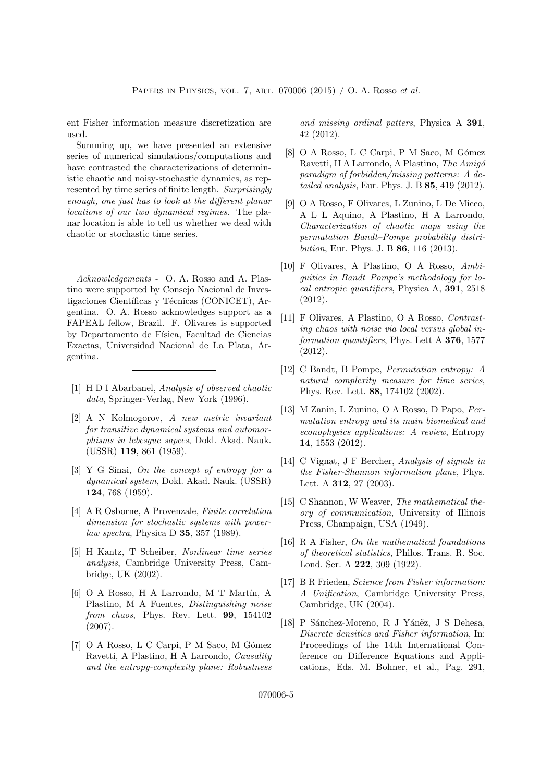ent Fisher information measure discretization are used.

Summing up, we have presented an extensive series of numerical simulations/computations and have contrasted the characterizations of deterministic chaotic and noisy-stochastic dynamics, as represented by time series of finite length. Surprisingly enough, one just has to look at the different planar locations of our two dynamical regimes. The planar location is able to tell us whether we deal with chaotic or stochastic time series.

Acknowledgements - O. A. Rosso and A. Plastino were supported by Consejo Nacional de Investigaciones Científicas y Técnicas (CONICET), Argentina. O. A. Rosso acknowledges support as a FAPEAL fellow, Brazil. F. Olivares is supported by Departamento de Física, Facultad de Ciencias Exactas, Universidad Nacional de La Plata, Argentina.

- [1] H D I Abarbanel, Analysis of observed chaotic data, Springer-Verlag, New York (1996).
- [2] A N Kolmogorov, A new metric invariant for transitive dynamical systems and automorphisms in lebesgue sapces, Dokl. Akad. Nauk. (USSR) 119, 861 (1959).
- [3] Y G Sinai, On the concept of entropy for a dynamical system, Dokl. Akad. Nauk. (USSR) 124, 768 (1959).
- [4] A R Osborne, A Provenzale, Finite correlation dimension for stochastic systems with powerlaw spectra, Physica D 35, 357 (1989).
- [5] H Kantz, T Scheiber, Nonlinear time series analysis, Cambridge University Press, Cambridge, UK (2002).
- $[6]$  O A Rosso, H A Larrondo, M T Martín, A Plastino, M A Fuentes, Distinguishing noise from chaos, Phys. Rev. Lett. 99, 154102 (2007).
- [7] O A Rosso, L C Carpi, P M Saco, M Gómez Ravetti, A Plastino, H A Larrondo, Causality and the entropy-complexity plane: Robustness

and missing ordinal patters, Physica A 391, 42 (2012).

- [8] O A Rosso, L C Carpi, P M Saco, M Gómez Ravetti, H A Larrondo, A Plastino, The Amigó paradigm of forbidden/missing patterns: A detailed analysis, Eur. Phys. J. B 85, 419 (2012).
- [9] O A Rosso, F Olivares, L Zunino, L De Micco, A L L Aquino, A Plastino, H A Larrondo, Characterization of chaotic maps using the permutation Bandt–Pompe probability distribution, Eur. Phys. J. B 86, 116 (2013).
- [10] F Olivares, A Plastino, O A Rosso, Ambiguities in Bandt–Pompe's methodology for local entropic quantifiers, Physica A, 391, 2518 (2012).
- [11] F Olivares, A Plastino, O A Rosso, Contrasting chaos with noise via local versus global information quantifiers, Phys. Lett A 376, 1577 (2012).
- [12] C Bandt, B Pompe, Permutation entropy: A natural complexity measure for time series, Phys. Rev. Lett. 88, 174102 (2002).
- [13] M Zanin, L Zunino, O A Rosso, D Papo, Permutation entropy and its main biomedical and econophysics applications: A review, Entropy 14, 1553 (2012).
- [14] C Vignat, J F Bercher, Analysis of signals in the Fisher-Shannon information plane, Phys. Lett. A 312, 27 (2003).
- [15] C Shannon, W Weaver, The mathematical theory of communication, University of Illinois Press, Champaign, USA (1949).
- [16] R A Fisher, On the mathematical foundations of theoretical statistics, Philos. Trans. R. Soc. Lond. Ser. A 222, 309 (1922).
- [17] B R Frieden, Science from Fisher information: A Unification, Cambridge University Press, Cambridge, UK (2004).
- [18] P Sánchez-Moreno, R J Yáněz, J S Dehesa, Discrete densities and Fisher information, In: Proceedings of the 14th International Conference on Difference Equations and Applications, Eds. M. Bohner, et al., Pag. 291,